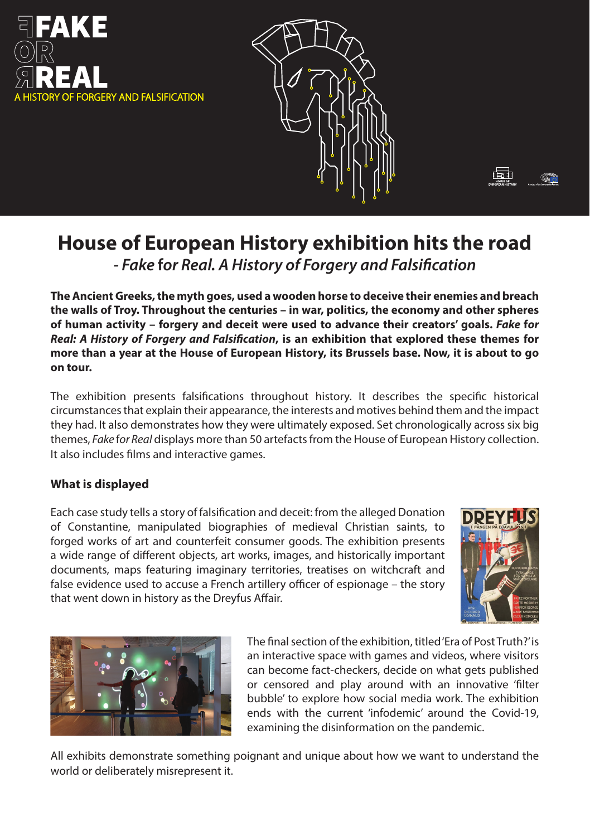



# **House of European History exhibition hits the road** *- Fake* **f***or Real. A History of Forgery and Falsi cation*

**The Ancient Greeks, the myth goes, used a wooden horse to deceive their enemies and breach the walls of Troy. Throughout the centuries – in war, politics, the economy and other spheres of human activity – forgery and deceit were used to advance their creators' goals.** *Fake* **f***or Real: A History of Forgery and Falsification*, is an exhibition that explored these themes for **more than a year at the House of European History, its Brussels base. Now, it is about to go on tour.** 

The exhibition presents falsifications throughout history. It describes the specific historical circumstances that explain their appearance, the interests and motives behind them and the impact they had. It also demonstrates how they were ultimately exposed. Set chronologically across six big themes, *Fake* f*or Real* displays more than 50 artefacts from the House of European History collection. It also includes films and interactive games.

# **What is displayed**

Each case study tells a story of falsification and deceit: from the alleged Donation of Constantine, manipulated biographies of medieval Christian saints, to forged works of art and counterfeit consumer goods. The exhibition presents a wide range of different objects, art works, images, and historically important documents, maps featuring imaginary territories, treatises on witchcraft and false evidence used to accuse a French artillery officer of espionage – the story that went down in history as the Dreyfus Affair.





The final section of the exhibition, titled 'Era of Post Truth?' is an interactive space with games and videos, where visitors can become fact-checkers, decide on what gets published or censored and play around with an innovative 'filter bubble' to explore how social media work. The exhibition ends with the current 'infodemic' around the Covid-19, examining the disinformation on the pandemic.

All exhibits demonstrate something poignant and unique about how we want to understand the world or deliberately misrepresent it.